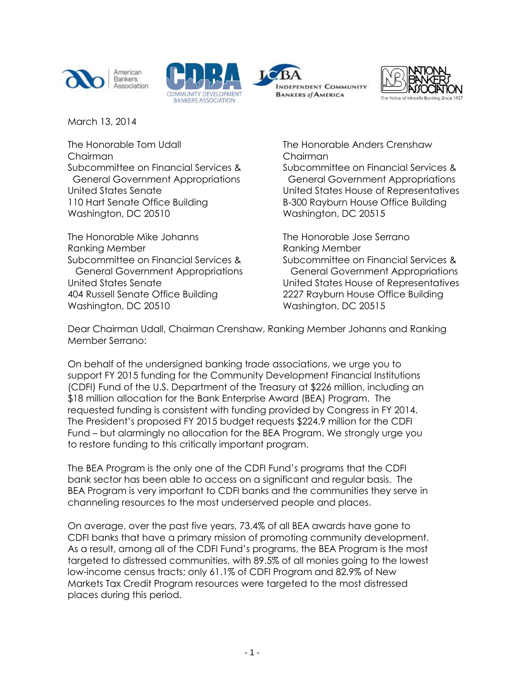







March 13, 2014

The Honorable Tom Udall The Honorable Anders Crenshaw Chairman Chairman Subcommittee on Financial Services & Subcommittee on Financial Services & 110 Hart Senate Office Building B-300 Rayburn House Office Building Washington, DC 20510 Washington, DC 20515

The Honorable Mike Johanns The Honorable Jose Serrano Ranking Member **Ranking Member** Ranking Member Subcommittee on Financial Services & Subcommittee on Financial Services & 404 Russell Senate Office Building 2227 Rayburn House Office Building Washington, DC 20510 Washington, DC 20515

 General Government Appropriations General Government Appropriations United States Senate United States House of Representatives

 General Government Appropriations General Government Appropriations United States Senate United States House of Representatives

Dear Chairman Udall, Chairman Crenshaw, Ranking Member Johanns and Ranking Member Serrano:

On behalf of the undersigned banking trade associations, we urge you to support FY 2015 funding for the Community Development Financial Institutions (CDFI) Fund of the U.S. Department of the Treasury at \$226 million, including an \$18 million allocation for the Bank Enterprise Award (BEA) Program. The requested funding is consistent with funding provided by Congress in FY 2014. The President's proposed FY 2015 budget requests \$224.9 million for the CDFI Fund – but alarmingly no allocation for the BEA Program. We strongly urge you to restore funding to this critically important program.

The BEA Program is the only one of the CDFI Fund's programs that the CDFI bank sector has been able to access on a significant and regular basis. The BEA Program is very important to CDFI banks and the communities they serve in channeling resources to the most underserved people and places.

On average, over the past five years, 73.4% of all BEA awards have gone to CDFI banks that have a primary mission of promoting community development. As a result, among all of the CDFI Fund's programs, the BEA Program is the most targeted to distressed communities, with 89.5% of all monies going to the lowest low-income census tracts; only 61.1% of CDFI Program and 82.9% of New Markets Tax Credit Program resources were targeted to the most distressed places during this period.